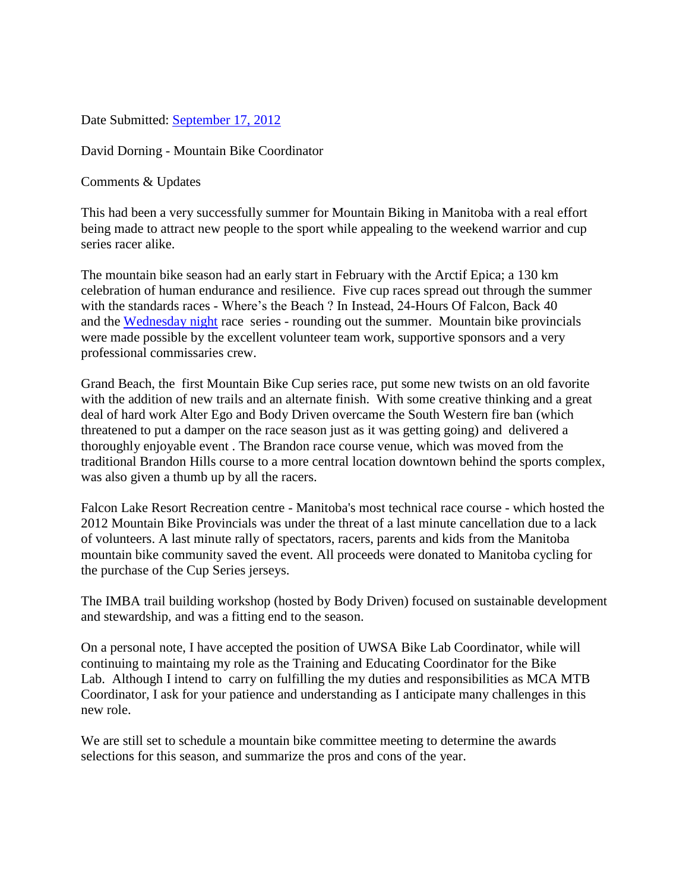Date Submitted: [September 17, 2012](x-apple-data-detectors://0/)

David Dorning - Mountain Bike Coordinator

Comments & Updates

This had been a very successfully summer for Mountain Biking in Manitoba with a real effort being made to attract new people to the sport while appealing to the weekend warrior and cup series racer alike.

The mountain bike season had an early start in February with the Arctif Epica; a 130 km celebration of human endurance and resilience. Five cup races spread out through the summer with the standards races - Where's the Beach ? In Instead, 24-Hours Of Falcon, Back 40 and the [Wednesday night](x-apple-data-detectors://1/) race series - rounding out the summer. Mountain bike provincials were made possible by the excellent volunteer team work, supportive sponsors and a very professional commissaries crew.

Grand Beach, the first Mountain Bike Cup series race, put some new twists on an old favorite with the addition of new trails and an alternate finish. With some creative thinking and a great deal of hard work Alter Ego and Body Driven overcame the South Western fire ban (which threatened to put a damper on the race season just as it was getting going) and delivered a thoroughly enjoyable event . The Brandon race course venue, which was moved from the traditional Brandon Hills course to a more central location downtown behind the sports complex, was also given a thumb up by all the racers.

Falcon Lake Resort Recreation centre - Manitoba's most technical race course - which hosted the 2012 Mountain Bike Provincials was under the threat of a last minute cancellation due to a lack of volunteers. A last minute rally of spectators, racers, parents and kids from the Manitoba mountain bike community saved the event. All proceeds were donated to Manitoba cycling for the purchase of the Cup Series jerseys.

The IMBA trail building workshop (hosted by Body Driven) focused on sustainable development and stewardship, and was a fitting end to the season.

On a personal note, I have accepted the position of UWSA Bike Lab Coordinator, while will continuing to maintaing my role as the Training and Educating Coordinator for the Bike Lab. Although I intend to carry on fulfilling the my duties and responsibilities as MCA MTB Coordinator, I ask for your patience and understanding as I anticipate many challenges in this new role.

We are still set to schedule a mountain bike committee meeting to determine the awards selections for this season, and summarize the pros and cons of the year.